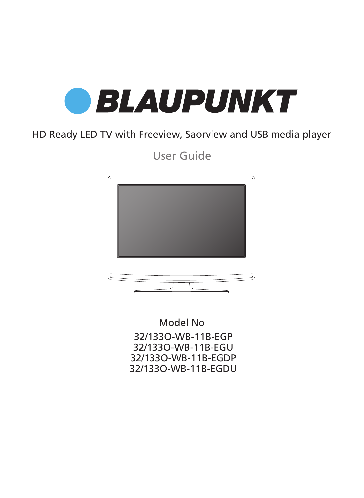

# HD Ready LED TV with Freeview, Saorview and USB media player

User Guide



Model No 32/133O-WB-11B-EGP 32/133O-WB-11B-EGU 32/133O-WB-11B-EGDP 32/133O-WB-11B-EGDU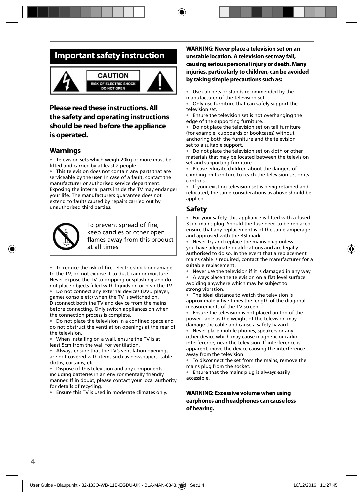# **Important safety instruction**



#### **CAUTION** SK OF ELECTRIC SHOCK **DO NOT OPEN**



### **Please read these instructions. All the safety and operating instructions should be read before the appliance is operated.**

### **Warnings**

• Television sets which weigh 20kg or more must be lifted and carried by at least 2 people.

• This television does not contain any parts that are serviceable by the user. In case of a fault, contact the manufacturer or authorised service department. Exposing the internal parts inside the TV may endanger your life. The manufacturers guarantee does not extend to faults caused by repairs carried out by unauthorised third parties.



To prevent spread of fire, keep candles or other open flames away from this product at all times

• To reduce the risk of fire, electric shock or damage to the TV, do not expose it to dust, rain or moisture. Never expose the TV to dripping or splashing and do not place objects filled with liquids on or near the TV.

• Do not connect any external devices (DVD player, games console etc) when the TV is switched on. Disconnect both the TV and device from the mains before connecting. Only switch appliances on when the connection process is complete.

Do not place the television in a confined space and do not obstruct the ventilation openings at the rear of the television.

• When installing on a wall, ensure the TV is at least 5cm from the wall for ventilation.

• Always ensure that the TV's ventilation openings are not covered with items such as newspapers, tablecloths, curtains, etc.

• Dispose of this television and any components including batteries in an environmentally friendly manner. If in doubt, please contact your local authority for details of recycling.

• Ensure this TV is used in moderate climates only.

#### **WARNING: Never place a television set on an unstable location. A television set may fall, causing serious personal injury or death. Many injuries, particularly to children, can be avoided by taking simple precautions such as:**

Use cabinets or stands recommended by the manufacturer of the television set.

• Only use furniture that can safely support the television set.

• Ensure the television set is not overhanging the edge of the supporting furniture.

• Do not place the television set on tall furniture (for example, cupboards or bookcases) without anchoring both the furniture and the television set to a suitable support.

• Do not place the television set on cloth or other materials that may be located between the television set and supporting furniture.

• Please educate children about the dangers of climbing on furniture to reach the television set or its controls.

• If your existing television set is being retained and relocated, the same considerations as above should be applied.

### **Safety**

For your safety, this appliance is fitted with a fused 3 pin mains plug. Should the fuse need to be replaced, ensure that any replacement is of the same amperage and approved with the BSI mark.

• Never try and replace the mains plug unless you have adequate qualifications and are legally authorised to do so. In the event that a replacement mains cable is required, contact the manufacturer for a suitable replacement.

• Never use the television if it is damaged in any way.

Always place the television on a flat level surface avoiding anywhere which may be subject to strong vibration.

• The ideal distance to watch the television is approximately five times the length of the diagonal measurements of the TV screen.

• Ensure the television is not placed on top of the power cable as the weight of the television may damage the cable and cause a safety hazard.

• Never place mobile phones, speakers or any other device which may cause magnetic or radio interference, near the television. If interference is apparent, move the device causing the interference away from the television.

• To disconnect the set from the mains, remove the mains plug from the socket.

• Ensure that the mains plug is always easily accessible.

#### **WARNING: Excessive volume when using earphones and headphones can cause loss of hearing.**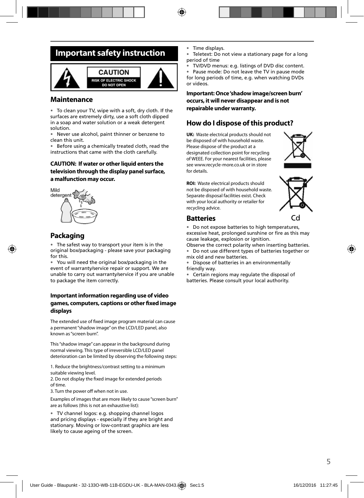# **Important safety instruction**



### **Maintenance**

• To clean your TV, wipe with a soft, dry cloth. If the surfaces are extremely dirty, use a soft cloth dipped in a soap and water solution or a weak detergent solution.

• Never use alcohol, paint thinner or benzene to clean this unit.

• Before using a chemically treated cloth, read the instructions that came with the cloth carefully.

#### **CAUTION: If water or other liquid enters the television through the display panel surface, a malfunction may occur.**



### **Packaging**

The safest way to transport your item is in the original box/packaging - please save your packaging for this.

• You will need the original box/packaging in the event of warranty/service repair or support. We are unable to carry out warranty/service if you are unable to package the item correctly.

#### **Important information regarding use of video**  games, computers, captions or other fixed image **displays**

The extended use of fixed image program material can cause a permanent "shadow image" on the LCD/LED panel, also known as "screen burn".

This "shadow image" can appear in the background during normal viewing. This type of irreversible LCD/LED panel deterioration can be limited by observing the following steps:

1. Reduce the brightness/contrast setting to a minimum suitable viewing level.

2. Do not display the fixed image for extended periods of time.

3. Turn the power off when not in use.

Examples of images that are more likely to cause "screen burn" are as follows (this is not an exhaustive list):

• TV channel logos: e.g. shopping channel logos and pricing displays - especially if they are bright and stationary. Moving or low-contrast graphics are less likely to cause ageing of the screen.

Time displays.

Teletext: Do not view a stationary page for a long period of time

• TV/DVD menus: e.g. listings of DVD disc content.

• Pause mode: Do not leave the TV in pause mode for long periods of time, e.g. when watching DVDs or videos.

**Important: Once 'shadow image/screen burn' occurs, it will never disappear and is not repairable under warranty.**

### **How do I dispose of this product?**

**UK:** Waste electrical products should not be disposed of with household waste. Please dispose of the product at a designated collection point for recycling of WEEE. For your nearest facilities, please see www.recycle-more.co.uk or in store for details.



**ROI:** Waste electrical products should not be disposed of with household waste. Separate disposal facilities exist. Check with your local authority or retailer for recycling advice.



### **Batteries**

• Do not expose batteries to high temperatures, excessive heat, prolonged sunshine or fire as this may cause leakage, explosion or ignition.

Observe the correct polarity when inserting batteries.

• Do not use different types of batteries together or mix old and new batteries.

• Dispose of batteries in an environmentally friendly way.

• Certain regions may regulate the disposal of batteries. Please consult your local authority.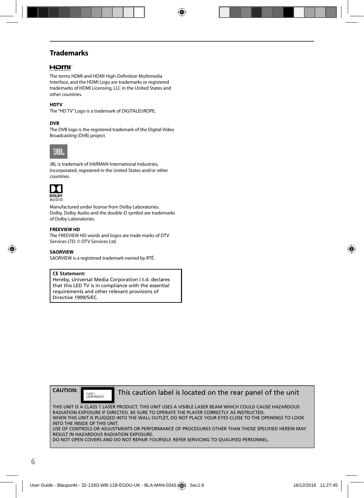### **Trademarks**

#### HOMI

The terms HDMI and HDMI High-Definition Multimedia Interface, and the HDMI Logo are trademarks or registered trademarks of HDMI Licensing, LLC in the United States and other countries.

#### **HDTV**

The "HD TV" Logo is a trademark of DIGITALEUROPE.

#### **DVB**

The DVB logo is the registered trademark of the Digital Video Broadcasting (DVB) project.



JBL is trademark of HARMAN International Industries, Incorporated, registered in the United States and/or other countries.



Manufactured under license from Dolby Laboratories. Dolby, Dolby Audio and the double-D symbol are trademarks of Dolby Laboratories.

#### **FREEVIEW HD**

The FREEVIEW HD words and logos are trade marks of DTV Services LTD. © DTV Services Ltd.

**SAORVIEW**

SAORVIEW is a registered trademark owned by RTÉ.

#### **CE Statement:**

Hereby, Universal Media Corporation l.t.d. declares that this LED TV is in compliance with the essential requirements and other relevant provisions of Directive 1999/5/EC.



CLASS 1

This caution label is located on the rear panel of the unit

THIS UNIT IS A CLASS 1 LASER PRODUCT. THIS UNIT USES A VISIBLE LASER BEAM WHICH COULD CAUSE HAZARDOUS RADIATION EXPOSURE IF DIRECTED. BE SURE TO OPERATE THE PLAYER CORRECTLY AS INSTRUCTED. WHEN THIS UNIT IS PLUGGED INTO THE WALL OUTLET, DO NOT PLACE YOUR EYES CLOSE TO THE OPENINGS TO LOOK INTO THE INSIDE OF THIS UNIT. USE OF CONTROLS OR ADJUSTMENTS OR PERFORMANCE OF PROCEDURES OTHER THAN THOSE SPECIFIED HEREIN MAY RESULT IN HAZARDOUS RADIATION EXPOSURE.

DO NOT OPEN COVERS AND DO NOT REPAIR YOURSELF. REFER SERVICING TO QUALIFIED PERSONNEL.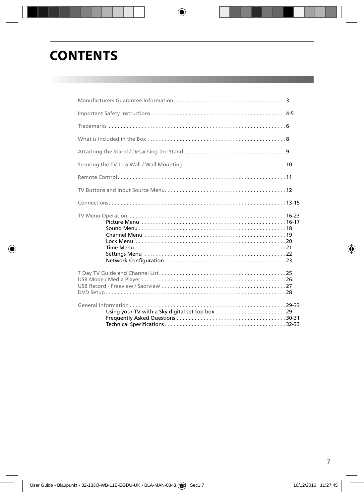# **CONTENTS**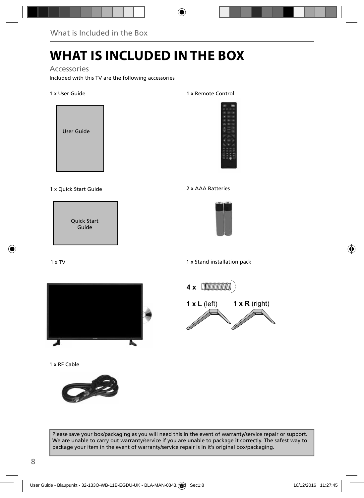# **WHAT IS INCLUDED IN THE BOX**

### Accessories

Included with this TV are the following accessories

#### 1 x User Guide



#### 1 x Quick Start Guide 2 x AAA Batteries

Quick Start Guide

#### 1 x Remote Control





1 x Stand installation pack



1 x RF Cable





Please save your box/packaging as you will need this in the event of warranty/service repair or support. We are unable to carry out warranty/service if you are unable to package it correctly. The safest way to package your item in the event of warranty/service repair is in it's original box/packaging.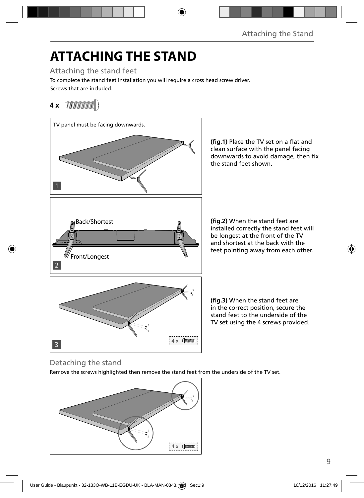# **ATTACHING THE STAND**

Attaching the stand feet

Screws that are included. To complete the stand feet installation you will require a cross head screw driver.

# **4 x**



(fig.1) Place the TV set on a flat and clean surface with the panel facing downwards to avoid damage, then fix the stand feet shown.

(fig.2) When the stand feet are installed correctly the stand feet will be longest at the front of the TV and shortest at the back with the feet pointing away from each other.

**(fig.3)** When the stand feet are in the correct position, secure the stand feet to the underside of the TV set using the 4 screws provided.

## Detaching the stand

Remove the screws highlighted then remove the stand feet from the underside of the TV set.

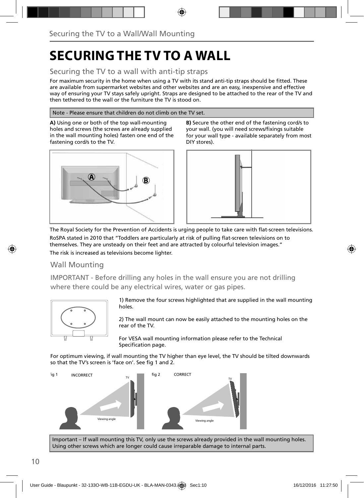# **SECURING THE TV TO A WALL**

### Securing the TV to a wall with anti-tip straps

For maximum security in the home when using a TV with its stand anti-tip straps should be fitted. These are available from supermarket websites and other websites and are an easy, inexpensive and effective way of ensuring your TV stays safely upright. Straps are designed to be attached to the rear of the TV and then tethered to the wall or the furniture the TV is stood on.

#### Note - Please ensure that children do not climb on the TV set.

**A)** Using one or both of the top wall-mounting holes and screws (the screws are already supplied in the wall mounting holes) fasten one end of the fastening cord/s to the TV.



**B)** Secure the other end of the fastening cord/s to your wall. (you will need screws/fixings suitable for your wall type - available separately from most DIY stores).



The Royal Society for the Prevention of Accidents is urging people to take care with flat-screen televisions. RoSPA stated in 2010 that "Toddlers are particularly at risk of pulling flat-screen televisions on to themselves. They are unsteady on their feet and are attracted by colourful television images."

The risk is increased as televisions become lighter.

### Wall Mounting

IMPORTANT - Before drilling any holes in the wall ensure you are not drilling where there could be any electrical wires, water or gas pipes.



1) Remove the four screws highlighted that are supplied in the wall mounting holes.

2) The wall mount can now be easily attached to the mounting holes on the rear of the TV.

For VESA wall mounting information please refer to the Technical Specification page.

For optimum viewing, if wall mounting the TV higher than eye level, the TV should be tilted downwards so that the TV's screen is 'face on'. See fig 1 and 2.



Important – If wall mounting this TV, only use the screws already provided in the wall mounting holes. Using other screws which are longer could cause irreparable damage to internal parts.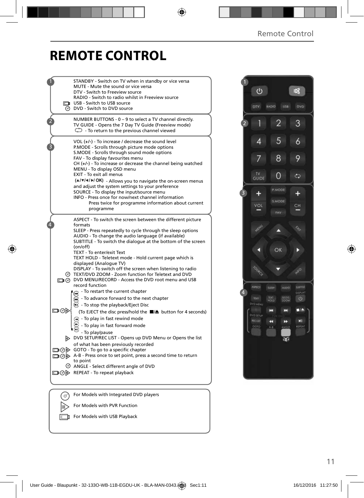# **REMOTE CONTROL**

|     | STANDBY - Switch on TV when in standby or vice versa<br>MUTE - Mute the sound or vice versa<br>DTV - Switch to Freeview source<br>RADIO - Switch to radio whilst in Freeview source<br><b>I</b> USB - Switch to USB source<br><b>O</b> DVD - Switch to DVD source                                                                                                                                                                                                                                                                                                                                           |
|-----|-------------------------------------------------------------------------------------------------------------------------------------------------------------------------------------------------------------------------------------------------------------------------------------------------------------------------------------------------------------------------------------------------------------------------------------------------------------------------------------------------------------------------------------------------------------------------------------------------------------|
|     | NUMBER BUTTONS - 0 - 9 to select a TV channel directly.<br>TV GUIDE - Opens the 7 Day TV Guide (Freeview mode)<br>$\mathbb{C}$ - To return to the previous channel viewed                                                                                                                                                                                                                                                                                                                                                                                                                                   |
|     | VOL (+/-) - To increase / decrease the sound level<br>P.MODE - Scrolls through picture mode options<br>S.MODE - Scrolls through sound mode options<br>FAV - To display favourites menu<br>$CH (+/-)$ - To increase or decrease the channel being watched<br>MENU - To display OSD menu<br>EXIT - To exit all menus<br>(A/V/4/M/OK) - Allows you to navigate the on-screen menus<br>and adjust the system settings to your preference<br>SOURCE - To display the input/source menu<br>INFO - Press once for now/next channel information<br>Press twice for programme information about current<br>programme |
|     | ASPECT - To switch the screen between the different picture<br>formats<br>SLEEP - Press repeatedly to cycle through the sleep options<br>AUDIO - To change the audio language (if available)<br>SUBTITLE - To switch the dialoque at the bottom of the screen<br>(on/off)<br>TEXT - To enter/exit Text<br>TEXT HOLD - Teletext mode - Hold current page which is                                                                                                                                                                                                                                            |
| ⊙   | displayed (Analogue TV)<br>DISPLAY - To switch off the screen when listening to radio<br>TEXT/DVD ZOOM - Zoom function for Teletext and DVD<br>DVD MENU/RECORD - Access the DVD root menu and USB<br>record function                                                                                                                                                                                                                                                                                                                                                                                        |
| ▭◉▷ | - To restart the current chapter<br>- To advance forward to the next chapter<br><b>B</b> - To stop the playback/Eject Disc<br>(To EJECT the disc press/hold the ■▲ button for 4 seconds)<br>$\left( \overline{\mathbf{u}} \right)$ - To play in fast rewind mode<br>- To play in fast forward mode                                                                                                                                                                                                                                                                                                          |
|     | - To play/pause<br>DVD SETUP/REC LIST - Opens up DVD Menu or Opens the list<br>of what has been previously recorded<br>□ ⊙ ⊙ GOTO - To go to a specific chapter<br>A-B - Press once to set point, press a second time to return<br>to point<br>ANGLE - Select different angle of DVD                                                                                                                                                                                                                                                                                                                        |
|     | □ ⊙ D REPEAT - To repeat playback                                                                                                                                                                                                                                                                                                                                                                                                                                                                                                                                                                           |
|     |                                                                                                                                                                                                                                                                                                                                                                                                                                                                                                                                                                                                             |
|     | For Models with Integrated DVD players<br>For Models with PVR Function                                                                                                                                                                                                                                                                                                                                                                                                                                                                                                                                      |
|     |                                                                                                                                                                                                                                                                                                                                                                                                                                                                                                                                                                                                             |
|     | For Models with USB Playback                                                                                                                                                                                                                                                                                                                                                                                                                                                                                                                                                                                |

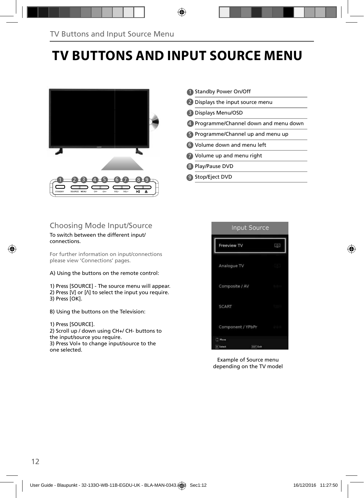# **TV BUTTONS AND INPUT SOURCE MENU**



Standby Power On/Off 1 2 Displays the input source menu Displays Menu/OSD 3 Programme/Channel down and menu down 4 5 Programme/Channel up and menu up Volume down and menu left 6 Volume up and menu right Play/Pause DVD 8 9) Stop/Eject DVD 7

### Choosing Mode Input/Source

#### To switch between the different input/ connections.

For further information on input/connections please view 'Connections' pages.

A) Using the buttons on the remote control:

1) Press [SOURCE] - The source menu will appear. 2) Press [V] or [ $\Lambda$ ] to select the input you require. 3) Press [OK].

B) Using the buttons on the Television:

#### 1) Press [SOURCE].

2) Scroll up / down using CH+/ CH- buttons to the input/source you require. 3) Press Vol+ to change input/source to the one selected.



Example of Source menu depending on the TV model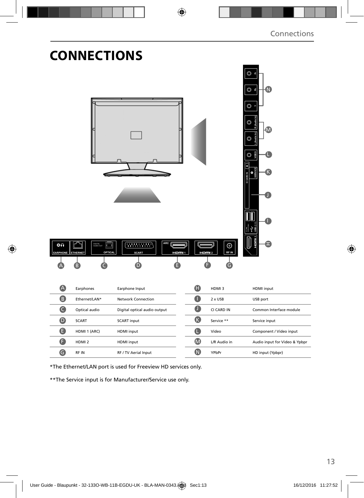| ٥n               | <b>CONNECTIONS</b><br>DIGITAL<br>AUDIO OUT<br>اک | <b>ARC</b>                                                                                                                                                                                                                                                                                                                                                                                                                  |            |                             | ة ©<br>$\circ$ a<br>N<br>O<br>M<br>C<br>O<br>m |
|------------------|--------------------------------------------------|-----------------------------------------------------------------------------------------------------------------------------------------------------------------------------------------------------------------------------------------------------------------------------------------------------------------------------------------------------------------------------------------------------------------------------|------------|-----------------------------|------------------------------------------------|
| <b>EARPHONE</b>  | <b>ETHERNET</b><br>OPTICAL                       | $\left(\frac{1}{2}+\frac{1}{2}+\frac{1}{2}+\frac{1}{2}+\frac{1}{2}+\frac{1}{2}+\frac{1}{2}+\frac{1}{2}+\frac{1}{2}+\frac{1}{2}+\frac{1}{2}+\frac{1}{2}+\frac{1}{2}+\frac{1}{2}+\frac{1}{2}+\frac{1}{2}+\frac{1}{2}+\frac{1}{2}+\frac{1}{2}+\frac{1}{2}+\frac{1}{2}+\frac{1}{2}+\frac{1}{2}+\frac{1}{2}+\frac{1}{2}+\frac{1}{2}+\frac{1}{2}+\frac{1}{2}+\frac{1}{2}+\frac{1}{2}+\frac{1}{2}+\$<br><b>SCART</b><br>HOM!!<br>D | HOM2       | $\odot$<br><b>RFIN</b><br>G |                                                |
| A                | Earphones                                        | Earphone Input                                                                                                                                                                                                                                                                                                                                                                                                              | $\bf \Phi$ | HDMI3                       | HDMI input                                     |
| 8                | Ethernet/LAN*                                    | <b>Network Connection</b>                                                                                                                                                                                                                                                                                                                                                                                                   | O          | 2 x USB                     | USB port                                       |
| $\bullet$        | Optical audio                                    | Digital optical audio output                                                                                                                                                                                                                                                                                                                                                                                                | $\bullet$  | CI CARD IN                  | Common Interface module                        |
| $\bullet$        | <b>SCART</b>                                     | <b>SCART</b> input                                                                                                                                                                                                                                                                                                                                                                                                          | $\bigcirc$ | Service **                  | Service input                                  |
| $\bullet$        | HDMI 1 (ARC)                                     | HDMI input                                                                                                                                                                                                                                                                                                                                                                                                                  | $\bullet$  | Video                       | Component / Video input                        |
| $\mathbf \Theta$ | HDMI <sub>2</sub>                                | HDMI input                                                                                                                                                                                                                                                                                                                                                                                                                  | $\bullet$  | L/R Audio in                | Audio input for Video & Ypbpr                  |
| $\bullet$        | RF IN                                            | RF / TV Aerial Input                                                                                                                                                                                                                                                                                                                                                                                                        | $\bullet$  | YPbPr                       | HD input (Ypbpr)                               |

\*The Ethernet/LAN port is used for Freeview HD services only.

\*\*The Service input is for Manufacturer/Service use only.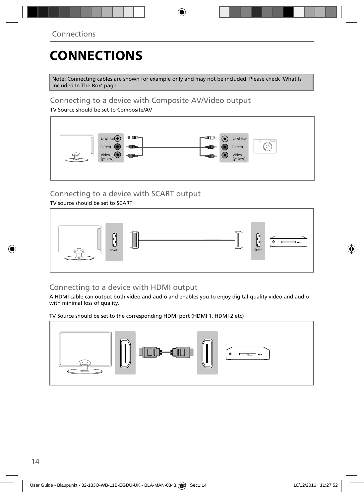# **CONNECTIONS**

Note: Connecting cables are shown for example only and may not be included. Please check 'What Is Included In The Box' page.

### Connecting to a device with Composite AV/Video output

TV Source should be set to Composite/AV



## Connecting to a device with SCART output

TV source should be set to SCART



### Connecting to a device with HDMI output

A HDMI cable can output both video and audio and enables you to enjoy digital-quality video and audio with minimal loss of quality.

TV Source should be set to the corresponding HDMI port (HDMI 1, HDMI 2 etc)

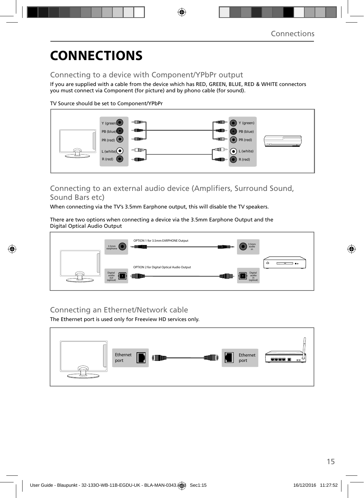# **CONNECTIONS**

### Connecting to a device with Component/YPbPr output

If you are supplied with a cable from the device which has RED, GREEN, BLUE, RED & WHITE connectors you must connect via Component (for picture) and by phono cable (for sound).

TV Source should be set to Component/YPbPr



### Connecting to an external audio device (Amplifiers, Surround Sound, Sound Bars etc)

When connecting via the TV's 3.5mm Earphone output, this will disable the TV speakers.

There are two options when connecting a device via the 3.5mm Earphone Output and the Digital Optical Audio Output



### Connecting an Ethernet/Network cable

The Ethernet port is used only for Freeview HD services only.

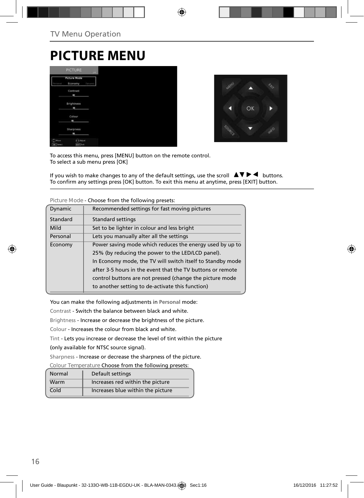# **PICTURE MENU**





To access this menu, press [MENU] button on the remote control. To select a sub menu press [OK]

If you wish to make changes to any of the default settings, use the scroll  $\Box \blacktriangledown \blacktriangleright \blacktriangleleft$  buttons. To confirm any settings press [OK] button. To exit this menu at anytime, press [EXIT] button.

|                | choose mone and rondering presets.                         |
|----------------|------------------------------------------------------------|
| <b>Dynamic</b> | Recommended settings for fast moving pictures              |
| Standard       | Standard settings                                          |
| Mild           | Set to be lighter in colour and less bright                |
| Personal       | Lets you manually alter all the settings                   |
| Economy        | Power saving mode which reduces the energy used by up to   |
|                | 25% (by reducing the power to the LED/LCD panel).          |
|                | In Economy mode, the TV will switch itself to Standby mode |
|                | after 3-5 hours in the event that the TV buttons or remote |
|                | control buttons are not pressed (change the picture mode   |
|                | to another setting to de-activate this function)           |

**Picture Mode** - Choose from the following presets:

You can make the following adjustments in **Personal** mode:

Contrast - Switch the balance between black and white.

Brightness - Increase or decrease the brightness of the picture.

Colour - Increases the colour from black and white.

Tint - Lets you increase or decrease the level of tint within the picture

(only available for NTSC source signal).

Sharpness - Increase or decrease the sharpness of the picture.

**Colour Temperature** Choose from the following presets:

| Normal | Default settings                  |
|--------|-----------------------------------|
| Warm   | Increases red within the picture  |
| Cold   | Increases blue within the picture |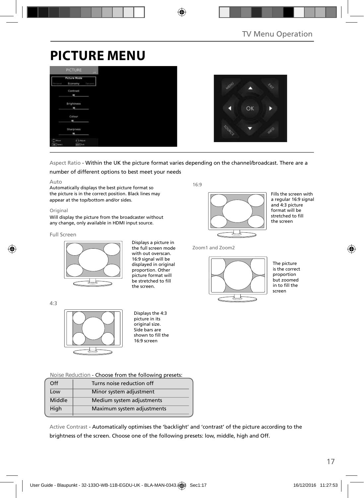# **PICTURE MENU**

|                      | <b>PICTURE</b>                 | <b>LIET</b> |
|----------------------|--------------------------------|-------------|
| Personal             | <b>Picture Mode</b><br>Economy | Dysami      |
|                      | Contrast<br>٠                  |             |
|                      | <b>Brightness</b><br>m         |             |
|                      | Colour<br>ı                    |             |
|                      | Sharpness<br>٠                 |             |
| (C) Move<br>OK Tered | <b>AAGUS</b><br>they like      |             |



### Aspect Ratio - Within the UK the picture format varies depending on the channel/broadcast. There are a

#### number of different options to best meet your needs

#### Auto

Automatically displays the best picture format so the picture is in the correct position. Black lines may appear at the top/bottom and/or sides.

#### Original

Will display the picture from the broadcaster without any change, only available in HDMI input source.

#### Full Screen

 $4.3$ 



Displays a picture in the full screen mode with out overscan. 16:9 signal will be displayed in original proportion. Other picture format will be stretched to fill the screen.

16:9



Fills the screen with a regular 16:9 signal and 4:3 picture format will be stretched to fill the screen

Zoom1 and Zoom2



The picture is the correct proportion but zoomed  $\frac{1}{2}$  in to fill the screen

Displays the 4:3 picture in its original size. Side bars are shown to fill the 16:9 screen

**Noise Reduction** - Choose from the following presets:

| Off    | Turns noise reduction off  |
|--------|----------------------------|
|        |                            |
| Low    | Minor system adjustment    |
| Middle | Medium system adjustments  |
| High   | Maximum system adjustments |
|        |                            |

Active Contrast - Automatically optimises the 'backlight' and 'contrast' of the picture according to the brightness of the screen. Choose one of the following presets: low, middle, high and Off.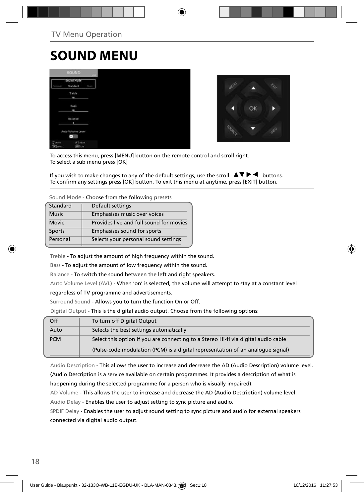# **SOUND MENU**

|                                      | <b>SOUND:</b>               |            |
|--------------------------------------|-----------------------------|------------|
|                                      | Sound Mode<br>Standard      | <b>How</b> |
|                                      | Treble<br>٠                 |            |
|                                      | Bass<br>٠                   |            |
|                                      | Balance<br>٠                |            |
|                                      | Auto Volume Level           |            |
| Е<br><b>Hour</b><br><b>OK</b> Terest | 2.Adjust<br><b>Earl Cat</b> |            |



To access this menu, press [MENU] button on the remote control and scroll right. To select a sub menu press [OK]

If you wish to make changes to any of the default settings, use the scroll  $\blacktriangle \blacktriangledown \blacktriangleright \blacktriangleleft$  buttons. To confirm any settings press [OK] button. To exit this menu at anytime, press [EXIT] button.

**Sound Mode** - Choose from the following presets

| Standard     | Default settings                        |
|--------------|-----------------------------------------|
| <b>Music</b> | Emphasises music over voices            |
| Movie        | Provides live and full sound for movies |
| Sports       | Emphasises sound for sports             |
| Personal     | Selects your personal sound settings    |
|              |                                         |

Treble - To adjust the amount of high frequency within the sound.

Bass - To adjust the amount of low frequency within the sound.

Balance - To switch the sound between the left and right speakers.

Auto Volume Level (AVL) - When 'on' is selected, the volume will attempt to stay at a constant level

#### regardless of TV programme and advertisements.

Surround Sound - Allows you to turn the function On or Off.

Digital Output - This is the digital audio output. Choose from the following options:

| Off        | To turn off Digital Output                                                         |
|------------|------------------------------------------------------------------------------------|
| Auto       | Selects the best settings automatically                                            |
| <b>PCM</b> | Select this option if you are connecting to a Stereo Hi-fi via digital audio cable |
|            | (Pulse-code modulation (PCM) is a digital representation of an analogue signal)    |

Audio Description - This allows the user to increase and decrease the AD (Audio Description) volume level. (Audio Description is a service available on certain programmes. It provides a description of what is happening during the selected programme for a person who is visually impaired).

AD Volume - This allows the user to increase and decrease the AD (Audio Description) volume level. Audio Delay - Enables the user to adjust setting to sync picture and audio.

SPDIF Delay - Enables the user to adjust sound setting to sync picture and audio for external speakers connected via digital audio output.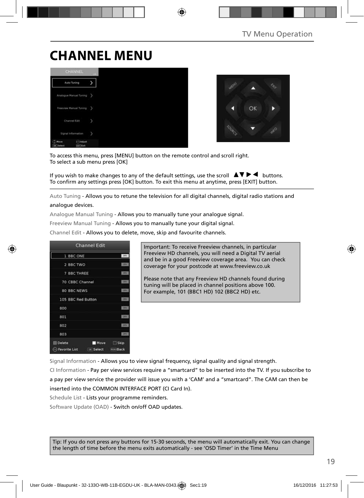# **CHANNEL MENU**





To access this menu, press [MENU] button on the remote control and scroll right. To select a sub menu press [OK]

If you wish to make changes to any of the default settings, use the scroll  $\Box \blacktriangledown \blacktriangleright \blacktriangleleft$  buttons. To confirm any settings press [OK] button. To exit this menu at anytime, press [EXIT] button.

Auto Tuning - Allows you to retune the television for all digital channels, digital radio stations and analogue devices.

Analogue Manual Tuning - Allows you to manually tune your analogue signal.

Freeview Manual Tuning - Allows you to manually tune your digital signal.

Channel Edit - Allows you to delete, move, skip and favourite channels.



Important: To receive Freeview channels, in particular Freeview HD channels, you will need a Digital TV aerial and be in a good Freeview coverage area. You can check coverage for your postcode at www.freeview.co.uk

Please note that any Freeview HD channels found during tuning will be placed in channel positions above 100. For example, 101 (BBC1 HD) 102 (BBC2 HD) etc.

Signal Information - Allows you to view signal frequency, signal quality and signal strength.

CI Information - Pay per view services require a "smartcard" to be inserted into the TV. If you subscribe to a pay per view service the provider will issue you with a 'CAM' and a "smartcard". The CAM can then be inserted into the COMMON INTERFACE PORT (CI Card In).

Schedule List - Lists your programme reminders.

Software Update (OAD) - Switch on/off OAD updates.

Tip: If you do not press any buttons for 15-30 seconds, the menu will automatically exit. You can change the length of time before the menu exits automatically - see 'OSD Timer' in the Time Menu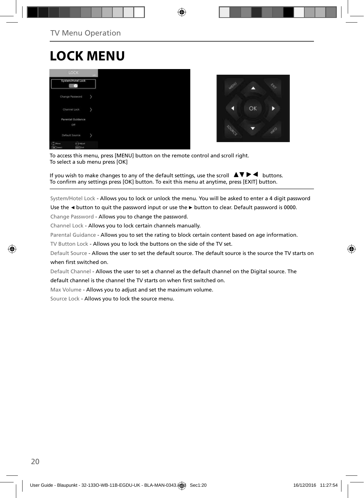# **LOCK MENU**





To access this menu, press [MENU] button on the remote control and scroll right. To select a sub menu press [OK]

If you wish to make changes to any of the default settings, use the scroll  $\Box \blacktriangledown \blacktriangleright \blacktriangleleft$  buttons. To confirm any settings press [OK] button. To exit this menu at anytime, press [EXIT] button.

System/Hotel Lock - Allows you to lock or unlock the menu. You will be asked to enter a 4 digit password

Use the **◄** button to quit the password input or use the **►** button to clear. Default password is 0000.

Change Password - Allows you to change the password.

Channel Lock - Allows you to lock certain channels manually.

Parental Guidance - Allows you to set the rating to block certain content based on age information.

TV Button Lock - Allows you to lock the buttons on the side of the TV set.

Default Source - Allows the user to set the default source. The default source is the source the TV starts on when first switched on.

Default Channel - Allows the user to set a channel as the default channel on the Digital source. The

default channel is the channel the TV starts on when first switched on.

Max Volume - Allows you to adjust and set the maximum volume.

Source Lock - Allows you to lock the source menu.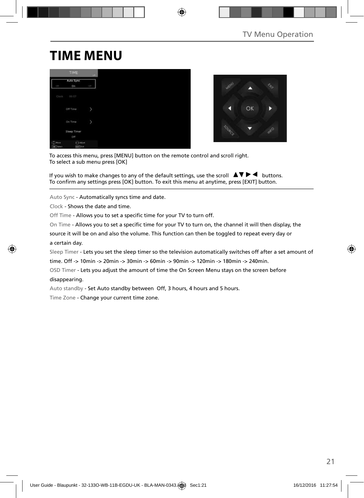# **TIME MENU**

|                                     | TIME                             | $-441$ |
|-------------------------------------|----------------------------------|--------|
| q                                   | Auto Sync<br>On                  | ų      |
| Clock                               | 00:07                            |        |
|                                     | Off Time                         |        |
|                                     | On Time                          |        |
|                                     | Sleep Timer<br>Off               |        |
| я<br><b>Hour</b><br><b>DK</b> Twind | <b>CAASat</b><br><b>Earl Cat</b> |        |



To access this menu, press [MENU] button on the remote control and scroll right. To select a sub menu press [OK]

If you wish to make changes to any of the default settings, use the scroll  $\blacktriangle \blacktriangledown \blacktriangleright \blacktriangleleft$  buttons. To confirm any settings press [OK] button. To exit this menu at anytime, press [EXIT] button.

Auto Sync - Automatically syncs time and date.

Clock - Shows the date and time.

Off Time - Allows you to set a specific time for your TV to turn off.

On Time - Allows you to set a specific time for your TV to turn on, the channel it will then display, the

source it will be on and also the volume. This function can then be toggled to repeat every day or a certain day.

Sleep Timer - Lets you set the sleep timer so the television automatically switches off after a set amount of

time. Off -> 10min -> 20min -> 30min -> 60min -> 90min -> 120min -> 180min -> 240min.

OSD Timer - Lets you adjust the amount of time the On Screen Menu stays on the screen before

#### disappearing.

Auto standby - Set Auto standby between Off, 3 hours, 4 hours and 5 hours.

Time Zone - Change your current time zone.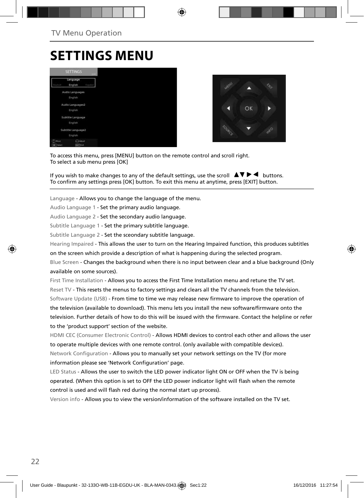# **SETTINGS MENU**





To access this menu, press [MENU] button on the remote control and scroll right. To select a sub menu press [OK]

If you wish to make changes to any of the default settings, use the scroll  $\Box \blacktriangledown \blacktriangleright \blacktriangleleft$  buttons. To confirm any settings press [OK] button. To exit this menu at anytime, press [EXIT] button.

Language - Allows you to change the language of the menu.

Audio Language 1 - Set the primary audio language.

Audio Language 2 - Set the secondary audio language.

Subtitle Language 1 - Set the primary subtitle language.

Subtitle Language 2 - Set the sceondary subtitle language.

Hearing Impaired - This allows the user to turn on the Hearing Impaired function, this produces subtitles

on the screen which provide a description of what is happening during the selected program.

Blue Screen - Changes the background when there is no input between clear and a blue background (Only available on some sources).

First Time Installation - Allows you to access the First Time Installation menu and retune the TV set. Reset TV - This resets the menus to factory settings and clears all the TV channels from the television. Software Update (USB) - From time to time we may release new firmware to improve the operation of the television (available to download). This menu lets you install the new software/firmware onto the television. Further details of how to do this will be issued with the firmware. Contact the helpline or refer to the 'product support' section of the website.

HDMI CEC (Consumer Electronic Control) - Allows HDMI devices to control each other and allows the user to operate multiple devices with one remote control. (only available with compatible devices). Network Configuration - Allows you to manually set your network settings on the TV (for more information please see 'Network Configuration' page.

LED Status - Allows the user to switch the LED power indicator light ON or OFF when the TV is being operated. (When this option is set to OFF the LED power indicator light will flash when the remote control is used and will flash red during the normal start up process).

Version info - Allows you to view the version/information of the software installed on the TV set.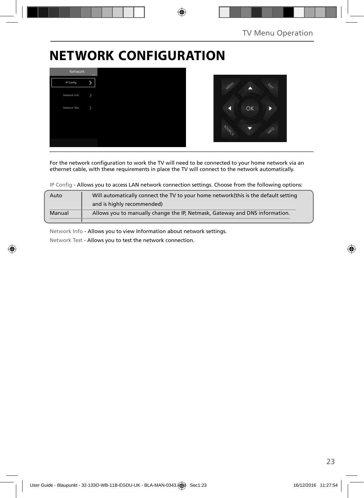# **NETWORK CONFIGURATION**



For the network configuration to work the TV will need to be connected to your home network via an ethernet cable, with these requirements in place the TV will connect to the network automatically.

IP Config - Allows you to access LAN network connection settings. Choose from the following options:

| Auto   | Will automatically connect the TV to your home network (this is the default setting |
|--------|-------------------------------------------------------------------------------------|
|        | and is highly recommended)                                                          |
| Manual | Allows you to manually change the IP, Netmask, Gateway and DNS information.         |
|        |                                                                                     |

Network Info - Allows you to view Information about network settings.

Network Test - Allows you to test the network connection.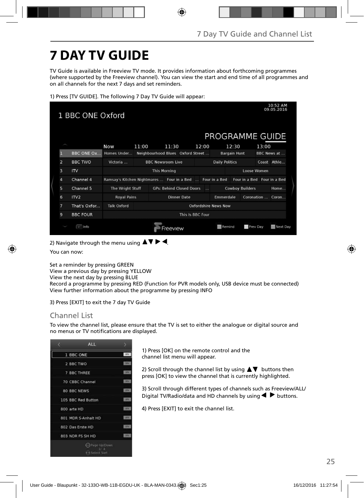# **7 DAY TV GUIDE**

TV Guide is available in Freeview TV mode. It provides information about forthcoming programmes (where supported by the Freeview channel). You can view the start and end time of all programmes and on all channels for the next 7 days and set reminders.

1) Press [TV GUIDE]. The following 7 Day TV Guide will appear:

| 10:52 AM<br>09.05.2016<br>1 BBC ONE Oxford<br>PROGRAMME GUIDE |                   |                                                           |       |                          |          |                                 |                                   |                       |                     |                             |       |                     |
|---------------------------------------------------------------|-------------------|-----------------------------------------------------------|-------|--------------------------|----------|---------------------------------|-----------------------------------|-----------------------|---------------------|-----------------------------|-------|---------------------|
|                                                               |                   | Now                                                       | 11:00 |                          | 11:30    |                                 | 12:00                             |                       | 12:30               |                             | 13:00 |                     |
|                                                               | <b>BBC ONE Ox</b> | Homes Under                                               |       |                          |          |                                 | Neighbourhood Blues Oxford Street |                       | <b>Bargain Hunt</b> |                             |       | <b>BBC News at </b> |
| $\overline{z}$                                                | <b>BBC TWO</b>    | Victoria                                                  |       | <b>BBC Newsroom Live</b> |          |                                 |                                   | <b>Daily Politics</b> |                     |                             |       | Coast Athle         |
| 3                                                             | IV                |                                                           |       | <b>This Morning</b>      |          |                                 |                                   |                       |                     | Loose Women                 |       |                     |
| 4                                                             | Channel 4         | Ramsay's Kitchen Nightmares  Four in a Bed  Four in a Bed |       |                          |          |                                 |                                   |                       |                     | Four in a Bed Four in a Bed |       |                     |
| 5                                                             | Channel 5         | The Wright Stuff                                          |       |                          |          | <b>GPs: Behind Closed Doors</b> | $\sim$                            |                       |                     | <b>Cowboy Builders</b>      |       | Home                |
| 6                                                             | ITV <sub>2</sub>  | <b>Royal Pains</b>                                        |       |                          |          | <b>Dinner Date</b>              |                                   | Emmerdale             |                     | Coronation  Coron           |       |                     |
| 7                                                             | That's Oxfor      | <b>Talk Oxford</b>                                        |       |                          |          |                                 |                                   | Oxfordshire News Now  |                     |                             |       |                     |
| 9                                                             | <b>BBC FOUR</b>   |                                                           |       |                          |          |                                 | This Is BBC Four                  |                       |                     |                             |       |                     |
|                                                               | <b>Info</b>       |                                                           |       |                          | Freeview |                                 |                                   | Remind                |                     | Prev Day                    |       | Next Day            |

2) Navigate through the menu using  $\blacktriangle \blacktriangledown \blacktriangleright \blacktriangleleft$ .

You can now:

Set a reminder by pressing GREEN

View a previous day by pressing YELLOW

View the next day by pressing BLUE

Record a programme by pressing RED (Function for PVR models only, USB device must be connected) View further information about the programme by pressing INFO

3) Press [EXIT] to exit the 7 day TV Guide

### Channel List

To view the channel list, please ensure that the TV is set to either the analogue or digital source and no menus or TV notifications are displayed.



1) Press [OK] on the remote control and the channel list menu will appear.

2) Scroll through the channel list by using  $\blacktriangle \blacktriangledown$  buttons then press [OK] to view the channel that is currently highlighted.

3) Scroll through different types of channels such as Freeview/ALL/ Digital TV/Radio/data and HD channels by using  $\blacklozenge$  buttons.

4) Press [EXIT] to exit the channel list.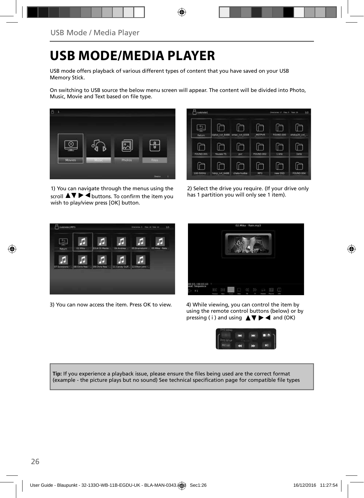# **USB MODE/MEDIA PLAYER**

USB mode offers playback of various different types of content that you have saved on your USB Memory Stick.

On switching to USB source the below menu screen will appear. The content will be divided into Photo, Music, Movie and Text based on file type.



1) You can navigate through the menus using the scroll  $\triangle \blacktriangledown \blacktriangleright \blacktriangleleft$  buttons. To confirm the item you wish to play/view press [OK] button.

| hisbisda1   |                 |               |                  | Distriction 17, 494-0, Total 24. | 1/2         |
|-------------|-----------------|---------------|------------------|----------------------------------|-------------|
| <br>Return. | ciplus_cvt_6488 | amac_cvt_6308 | <b>MSTPVR</b>    | FOUND 000                        | xhdcp20_cvt |
| FOUND 001   | Yousee TS       | OVT           | <b>FOUND.002</b> | 1 kHz                            | 1kHz        |
| 100-500Hz   | hotp_cvt_6488   | chata hudba   | MP3              | new OSD                          | FOUND DOA   |

2) Select the drive you require. (If your drive only has 1 partition you will only see 1 item).



3) You can now access the item. Press OK to view. 4) While viewing, you can control the item by



using the remote control buttons (below) or by pressing (i) and using  $\triangle \blacktriangledown \blacktriangleright \blacktriangleleft$  and (OK)



**Tip:** If you experience a playback issue, please ensure the files being used are the correct format (example - the picture plays but no sound) See technical specification page for compatible file types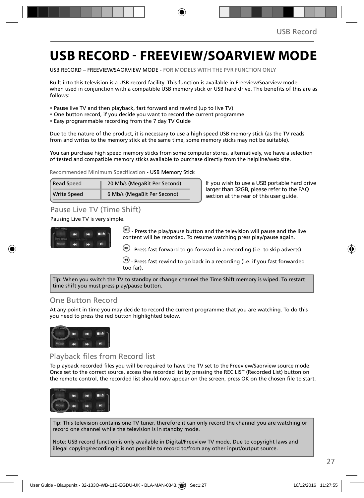# **USB RECORD - FREEVIEW/SOARVIEW MODE**

USB RECORD – FREEVIEW/SAORVIEW MODE - FOR MODELS WITH THE PVR FUNCTION ONLY

Built into this television is a USB record facility. This function is available in Freeview/Soarview mode when used in conjunction with a compatible USB memory stick or USB hard drive. The benefits of this are as follows:

- Pause live TV and then playback, fast forward and rewind (up to live TV)
- One button record, if you decide you want to record the current programme
- Easy programmable recording from the 7 day TV Guide

Due to the nature of the product, it is necessary to use a high speed USB memory stick (as the TV reads from and writes to the memory stick at the same time, some memory sticks may not be suitable).

You can purchase high speed memory sticks from some computer stores, alternatively, we have a selection of tested and compatible memory sticks available to purchase directly from the helpline/web site.

Recommended Minimum Specification - USB Memory Stick

| Read Speed         | 20 Mb/s (MegaBit Per Second) |
|--------------------|------------------------------|
| <b>Write Speed</b> | 6 Mb/s (MegaBit Per Second)  |

**If you wish to use a USB portable hard drive larger than 32GB, please refer to the FAQ section at the rear of this user guide.**

### Pause Live TV (Time Shift)

#### Pausing Live TV is very simple.



 $\left(\mathbf{H}\right)$  - Press the play/pause button and the television will pause and the live content will be recorded. To resume watching press play/pause again.

 $\left(\bullet\right)$  - Press fast forward to go forward in a recording (i.e. to skip adverts).

 $\bigcirc$  - Press fast rewind to go back in a recording (i.e. if you fast forwarded too far).

Tip: When you switch the TV to standby or change channel the Time Shift memory is wiped. To restart time shift you must press play/pause button.

### One Button Record

At any point in time you may decide to record the current programme that you are watching. To do this you need to press the red button highlighted below.



### Playback files from Record list

To playback recorded files you will be required to have the TV set to the Freeview/Saorview source mode. Once set to the correct source, access the recorded list by pressing the REC LIST (Recorded List) button on the remote control, the recorded list should now appear on the screen, press OK on the chosen file to start.



Tip: This television contains one TV tuner, therefore it can only record the channel you are watching or record one channel while the television is in standby mode.

Note: USB record function is only available in Digital/Freeview TV mode. Due to copyright laws and illegal copying/recording it is not possible to record to/from any other input/output source.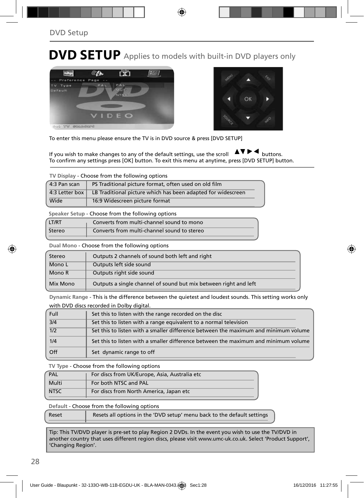# **DVD SETUP** Applies to models with built-in DVD players only





To enter this menu please ensure the TV is in DVD source & press [DVD SETUP]

If you wish to make changes to any of the default settings, use the scroll  $\Box \Box \Box \Box$  buttons. To confirm any settings press [OK] button. To exit this menu at anytime, press [DVD SETUP] button.

| 4:3 Pan scan   | PS Traditional picture format, often used on old film        |
|----------------|--------------------------------------------------------------|
| 4:3 Letter box | LB Traditional picture which has been adapted for widescreen |
| Wide           | 16:9 Widescreen picture format                               |

**Speaker Setup** - Choose from the following options

| LT/RT  | Converts from multi-channel sound to mono   |
|--------|---------------------------------------------|
| Stereo | Converts from multi-channel sound to stereo |

**Dual Mono** - Choose from the following options

| Stereo   | Outputs 2 channels of sound both left and right                  |  |
|----------|------------------------------------------------------------------|--|
| Mono L   | Outputs left side sound                                          |  |
| Mono R   | Outputs right side sound                                         |  |
| Mix Mono | Outputs a single channel of sound but mix between right and left |  |

**Dynamic Range** - This is the difference between the quietest and loudest sounds. This setting works only with DVD discs recorded in Dolby digital.

| Full             | Set this to listen with the range recorded on the disc                              |
|------------------|-------------------------------------------------------------------------------------|
| $\overline{3/4}$ | Set this to listen with a range equivalent to a normal television                   |
| $\overline{1/2}$ | Set this to listen with a smaller difference between the maximum and minimum volume |
| 1/4              | Set this to listen with a smaller difference between the maximum and minimum volume |
| Off              | Set dynamic range to off                                                            |

**TV Type** - Choose from the following options

| PAL         | For discs from UK/Europe, Asia, Australia etc |
|-------------|-----------------------------------------------|
| Multi       | For both NTSC and PAL                         |
| <b>NTSC</b> | For discs from North America, Japan etc       |

**Default** - Choose from the following options

| Reset | Resets all options in the 'DVD setup' menu back to the default settings |
|-------|-------------------------------------------------------------------------|
|       |                                                                         |

Tip: This TV/DVD player is pre-set to play Region 2 DVDs. In the event you wish to use the TV/DVD in another country that uses different region discs, please visit www.umc-uk.co.uk. Select 'Product Support', 'Changing Region'.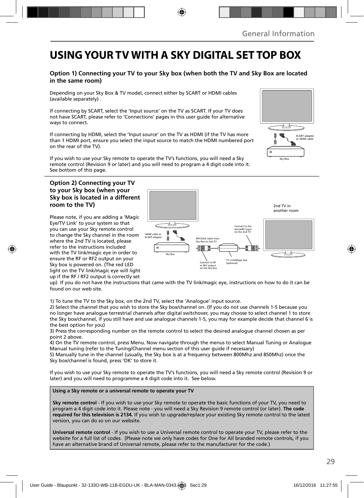# **USING YOUR TV WITH A SKY DIGITAL SET TOP BOX**

#### **Option 1) Connecting your TV to your Sky box (when both the TV and Sky Box are located in the same room)**

Depending on your Sky Box & TV model, connect either by SCART or HDMI cables (available separately) .

If connecting by SCART, select the 'Input source' on the TV as SCART. If your TV does not have SCART, please refer to 'Connections' pages in this user guide for alternative ways to connect.

If connecting by HDMI, select the 'Input source' on the TV as HDMI (if the TV has more than 1 HDMI port, ensure you select the input source to match the HDMI numbered port on the rear of the TV).

If you wish to use your Sky remote to operate the TV's functions, you will need a Sky remote control (Revision 9 or later) and you will need to program a 4 digit code into it. See bottom of this page.

#### **Option 2) Connecting your TV to your Sky box (when your Sky box is located in a different room to the TV)**

Please note, if you are adding a 'Magic Eye/TV Link' to your system so that you can use your Sky remote control to change the Sky channel in the room where the 2nd TV is located, please refer to the instructions included with the TV link/magic eye in order to ensure the RF or RF2 output on your Sky box is powered on. (The red LED light on the TV link/magic eye will light up if the RF / RF2 output is correctly set



up) If you do not have the instructions that came with the TV link/magic eye, instructions on how to do it can be found on our web site.

1) To tune the TV to the Sky box, on the 2nd TV, select the 'Analogue' input source.

2) Select the channel that you wish to store the Sky box/channel on. (If you do not use channels 1-5 because you no longer have analogue terrestrial channels after digital switchover, you may choose to select channel 1 to store the Sky box/channel, if you still have and use analogue channels 1-5, you may for example decide that channel 6 is the best option for you)

3) Press the corresponding number on the remote control to select the desired analogue channel chosen as per point 2 above.

4) On the TV remote control, press Menu. Now navigate through the menus to select Manual Tuning or Analogue Manual tuning (refer to the Tuning/Channel menu section of this user guide if necessary)

5) Manually tune in the channel (usually, the Sky box is at a frequency between 800Mhz and 850Mhz) once the Sky box/channel is found, press 'OK' to store it.

If you wish to use your Sky remote to operate the TV's functions, you will need a Sky remote control (Revision 9 or later) and you will need to programme a 4 digit code into it. See below.

**Using a Sky remote or a universal remote to operate your TV** 

**Sky remote control** - If you wish to use your Sky remote to operate the basic functions of your TV, you need to program a 4 digit code into it. Please note - you will need a Sky Revision 9 remote control (or later). **The code required for this television is 2134.** If you wish to upgrade/replace your existing Sky remote control to the latest version, you can do so on our website.

**Universal remote control** - If you wish to use a Universal remote control to operate your TV, please refer to the website for a full list of codes. (Please note we only have codes for One for All branded remote controls, if you have an alternative brand of Universal remote, please refer to the manufacturer for the code.)

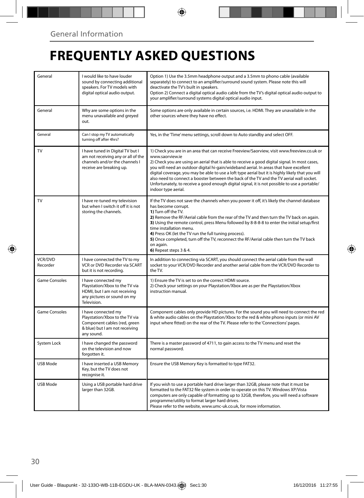# **FREQUENTLY ASKED QUESTIONS**

| General                    | I would like to have louder<br>sound by connecting additional<br>speakers. For TV models with<br>digital optical audio output.        | Option 1) Use the 3.5mm headphone output and a 3.5mm to phono cable (available<br>separately) to connect to an amplifier/surround sound system. Please note this will<br>deactivate the TV's built in speakers.<br>Option 2) Connect a digital optical audio cable from the TV's digital optical audio output to<br>your amplifier/surround systems digital optical audio input.                                                                                                                                                                                                                                                    |
|----------------------------|---------------------------------------------------------------------------------------------------------------------------------------|-------------------------------------------------------------------------------------------------------------------------------------------------------------------------------------------------------------------------------------------------------------------------------------------------------------------------------------------------------------------------------------------------------------------------------------------------------------------------------------------------------------------------------------------------------------------------------------------------------------------------------------|
| General                    | Why are some options in the<br>menu unavailable and greyed<br>out.                                                                    | Some options are only available in certain sources, i.e. HDMI. They are unavailable in the<br>other sources where they have no effect.                                                                                                                                                                                                                                                                                                                                                                                                                                                                                              |
| General                    | Can I stop my TV automatically<br>turning off after 4hrs?                                                                             | Yes, in the 'Time' menu settings, scroll down to Auto standby and select OFF.                                                                                                                                                                                                                                                                                                                                                                                                                                                                                                                                                       |
| TV                         | I have tuned in Digital TV but I<br>am not receiving any or all of the<br>channels and/or the channels I<br>receive are breaking up.  | 1) Check you are in an area that can receive Freeview/Saorview, visit www.freeview.co.uk or<br>www.saorview.ie<br>2) Check you are using an aerial that is able to receive a good digital signal. In most cases,<br>you will need an outdoor digital hi-gain/wideband aerial. In areas that have excellent<br>digital coverage, you may be able to use a loft type aerial but it is highly likely that you will<br>also need to connect a booster between the back of the TV and the TV aerial wall socket.<br>Unfortunately, to receive a good enough digital signal, it is not possible to use a portable/<br>indoor type aerial. |
| TV                         | I have re-tuned my television<br>but when I switch it off it is not<br>storing the channels.                                          | If the TV does not save the channels when you power it off, it's likely the channel database<br>has become corrupt.<br>1) Turn off the TV.<br>2) Remove the RF/Aerial cable from the rear of the TV and then turn the TV back on again.<br>3) Using the remote control, press Menu followed by 8-8-8-8 to enter the initial setup/first<br>time installation menu.<br>4) Press OK (let the TV run the full tuning process).<br>5) Once completed, turn off the TV, reconnect the RF/Aerial cable then turn the TV back<br>on again.<br>6) Repeat steps 3 & 4.                                                                       |
| <b>VCR/DVD</b><br>Recorder | I have connected the TV to my<br>VCR or DVD Recorder via SCART<br>but it is not recording.                                            | In addition to connecting via SCART, you should connect the aerial cable from the wall<br>socket to your VCR/DVD Recorder and another aerial cable from the VCR/DVD Recorder to<br>the TV.                                                                                                                                                                                                                                                                                                                                                                                                                                          |
| Game Consoles              | I have connected my<br>Playstation/Xbox to the TV via<br>HDMI, but I am not receiving<br>any pictures or sound on my<br>Television.   | 1) Ensure the TV is set to on the correct HDMI source.<br>2) Check your settings on your Playstation/Xbox are as per the Playstation/Xbox<br>instruction manual.                                                                                                                                                                                                                                                                                                                                                                                                                                                                    |
| Game Consoles              | I have connected my<br>Playstation/Xbox to the TV via<br>Component cables (red, green<br>& blue) but I am not receiving<br>any sound. | Component cables only provide HD pictures. For the sound you will need to connect the red<br>& white audio cables on the Playstation/Xbox to the red & white phono inputs (or mini AV<br>input where fitted) on the rear of the TV. Please refer to the 'Connections' pages.                                                                                                                                                                                                                                                                                                                                                        |
| System Lock                | I have changed the password<br>on the television and now<br>forgotten it.                                                             | There is a master password of 4711, to gain access to the TV menu and reset the<br>normal password.                                                                                                                                                                                                                                                                                                                                                                                                                                                                                                                                 |
| <b>USB Mode</b>            | I have inserted a USB Memory<br>Key, but the TV does not<br>recognise it.                                                             | Ensure the USB Memory Key is formatted to type FAT32.                                                                                                                                                                                                                                                                                                                                                                                                                                                                                                                                                                               |
| USB Mode                   | Using a USB portable hard drive<br>larger than 32GB.                                                                                  | If you wish to use a portable hard drive larger than 32GB, please note that it must be<br>formatted to the FAT32 file system in order to operate on this TV. Windows XP/Vista<br>computers are only capable of formatting up to 32GB, therefore, you will need a software<br>programme/utility to format larger hard drives.<br>Please refer to the website, www.umc-uk.co.uk, for more information.                                                                                                                                                                                                                                |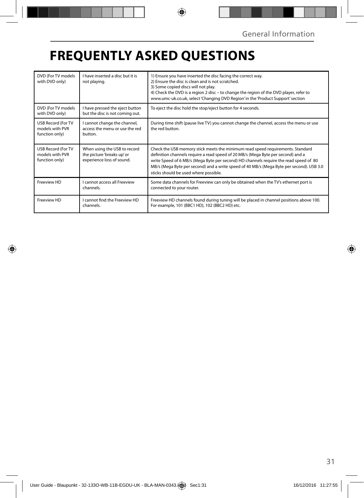# **FREQUENTLY ASKED QUESTIONS**

| DVD (For TV models<br>with DVD only)                           | I have inserted a disc but it is<br>not playing.                                        | 1) Ensure you have inserted the disc facing the correct way.<br>2) Ensure the disc is clean and is not scratched.<br>3) Some copied discs will not play.<br>4) Check the DVD is a region 2 disc – to change the region of the DVD player, refer to<br>www.umc-uk.co.uk, select 'Changing DVD Region' in the 'Product Support' section                                                            |
|----------------------------------------------------------------|-----------------------------------------------------------------------------------------|--------------------------------------------------------------------------------------------------------------------------------------------------------------------------------------------------------------------------------------------------------------------------------------------------------------------------------------------------------------------------------------------------|
| DVD (For TV models<br>with DVD only)                           | I have pressed the eject button<br>but the disc is not coming out.                      | To eject the disc hold the stop/eject button for 4 seconds.                                                                                                                                                                                                                                                                                                                                      |
| <b>USB Record (For TV</b><br>models with PVR<br>function only) | cannot change the channel,<br>access the menu or use the red<br>button.                 | During time shift (pause live TV) you cannot change the channel, access the menu or use<br>the red button.                                                                                                                                                                                                                                                                                       |
| <b>USB Record (For TV</b><br>models with PVR<br>function only) | When using the USB to record<br>the picture 'breaks up' or<br>experience loss of sound. | Check the USB memory stick meets the minimum read speed requirements. Standard<br>definition channels require a read speed of 20 MB/s (Mega Byte per second) and a<br>write Speed of 6 MB/s (Mega Byte per second) HD channels require the read speed of 80<br>MB/s (Mega Byte per second) and a write speed of 40 MB/s (Mega Byte per second). USB 3.0<br>sticks should be used where possible. |
| Freeview HD                                                    | <b>Cannot access all Freeview</b><br>channels.                                          | Some data channels for Freeview can only be obtained when the TV's ethernet port is<br>connected to your router.                                                                                                                                                                                                                                                                                 |
| Freeview HD                                                    | I cannot find the Freeview HD<br>channels.                                              | Freeview HD channels found during tuning will be placed in channel positions above 100.<br>For example, 101 (BBC1 HD), 102 (BBC2 HD) etc.                                                                                                                                                                                                                                                        |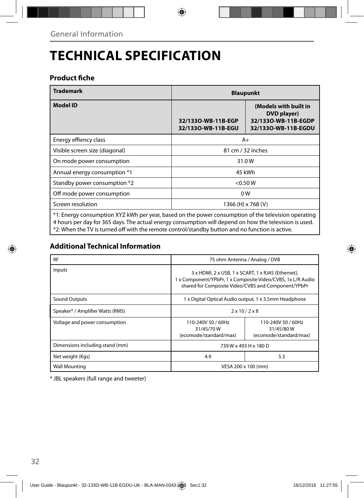# **TECHNICAL SPECIFICATION**

### **Product fiche**

| <b>Trademark</b>               | <b>Blaupunkt</b>                         |                                                                                    |  |
|--------------------------------|------------------------------------------|------------------------------------------------------------------------------------|--|
| <b>Model ID</b>                | 32/1330-WB-11B-EGP<br>32/1330-WB-11B-EGU | (Models with built in<br>DVD player)<br>32/1330-WB-11B-EGDP<br>32/1330-WB-11B-EGDU |  |
| Energy effiency class          | $A+$                                     |                                                                                    |  |
| Visible screen size (diagonal) | 81 cm / 32 inches                        |                                                                                    |  |
| On mode power consumption      | 31.0W                                    |                                                                                    |  |
| Annual energy consumption *1   | 45 kWh                                   |                                                                                    |  |
| Standby power consumption *2   | $<$ 0.50 W                               |                                                                                    |  |
| Off mode power consumption     | 0W                                       |                                                                                    |  |
| Screen resolution              | 1366 (H) x 768 (V)                       |                                                                                    |  |
|                                |                                          | .                                                                                  |  |

\*1: Energy consumption XYZ kWh per year, based on the power consumption of the television operating 4 hours per day for 365 days. The actual energy consumption will depend on how the television is used. \*2: When the TV is turned off with the remote control/standby button and no function is active.

### **Additional Technical Information**

| <b>RF</b>                        | 75 ohm Antenna / Analog / DVB                                                                                                                                            |                                                           |  |
|----------------------------------|--------------------------------------------------------------------------------------------------------------------------------------------------------------------------|-----------------------------------------------------------|--|
| Inputs                           | 3 x HDMI, 2 x USB, 1 x SCART, 1 x RJ45 (Ethernet),<br>1 x Component/YPbPr, 1 x Composite Video/CVBS, 1x L/R Audio<br>shared for Composite Video/CVBS and Component/YPbPr |                                                           |  |
| <b>Sound Outputs</b>             | 1 x Digital Optical Audio output, 1 x 3.5mm Headphone                                                                                                                    |                                                           |  |
| Speaker* / Amplifier Watts (RMS) | $2 \times 10 / 2 \times 8$                                                                                                                                               |                                                           |  |
| Voltage and power consumption    | 110-240V 50 / 60Hz<br>31/45/70W<br>(ecomode/standard/max)                                                                                                                | 110-240V 50 / 60Hz<br>31/45/80W<br>(ecomode/standard/max) |  |
| Dimensions including stand (mm)  | 739 W x 493 H x 180 D                                                                                                                                                    |                                                           |  |
| Net weight (Kgs)                 | 4.9                                                                                                                                                                      | 5.3                                                       |  |
| <b>Wall Mounting</b>             | VESA 200 x 100 (mm)                                                                                                                                                      |                                                           |  |

\* JBL speakers (full range and tweeter)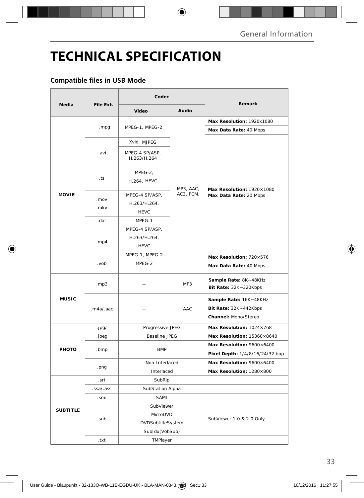# **TECHNICAL SPECIFICATION**

### **Compatible files in USB Mode**

|                 |              | Codec                          |                        |                                                                         |
|-----------------|--------------|--------------------------------|------------------------|-------------------------------------------------------------------------|
| Media           | File Ext.    | Video                          | Audio                  | Remark                                                                  |
|                 |              |                                |                        | Max Resolution: 1920x1080                                               |
|                 | .mpg         | MPEG-1, MPEG-2                 | MP3, AAC,<br>AC3, PCM, | Max Data Rate: 40 Mbps                                                  |
|                 |              | Xvid, MJPEG                    |                        | Max Resolution: 1920×1080<br>Max Data Rate: 20 Mbps                     |
| <b>MOVIE</b>    | .avi         | MPEG-4 SP/ASP,<br>H.263/H.264  |                        |                                                                         |
|                 | .ts          | MPEG-2,<br>H.264, HEVC         |                        |                                                                         |
|                 | .mov<br>.mkv | MPEG-4 SP/ASP,<br>H.263/H.264, |                        |                                                                         |
|                 | .dat         | <b>HEVC</b><br>MPEG-1          |                        |                                                                         |
|                 | mp4          | MPEG-4 SP/ASP,<br>H.263/H.264, |                        |                                                                         |
|                 |              | <b>HEVC</b>                    |                        |                                                                         |
|                 |              | MPEG-1, MPEG-2                 |                        | Max Resolution: 720×576                                                 |
|                 | .vob         | MPEG-2                         |                        | Max Data Rate: 40 Mbps                                                  |
| <b>MUSIC</b>    | .mp3         | $-$                            | MP3                    | Sample Rate: 8K~48KHz<br>Bit Rate: 32K~320Kbps                          |
|                 | .m4a/.aac    | $-$                            | AAC                    | Sample Rate: 16K~48KHz<br>Bit Rate: 32K~442Kbps<br>Channel: Mono/Stereo |
|                 | .jpg/        | Progressive JPEG               |                        | Max Resolution: 1024×768                                                |
|                 | .jpeg        | <b>Baseline JPEG</b>           |                        | Max Resolution: 15360×8640                                              |
| PHOTO           | .bmp         | <b>BMP</b>                     |                        | Max Resolution: 9600×6400                                               |
|                 |              |                                |                        | Pixel Depth: 1/4/8/16/24/32 bpp                                         |
|                 | .png         | Non-Interlaced                 |                        | Max Resolution: 9600×6400                                               |
|                 |              | Interlaced                     |                        | Max Resolution: 1280×800                                                |
|                 | .srt         | SubRip                         |                        |                                                                         |
|                 | .ssa/.ass    | SubStation Alpha               |                        |                                                                         |
| <b>SUBTITLE</b> | .smi         | SAMI                           |                        |                                                                         |
|                 |              | SubViewer                      |                        | SubViewer 1.0 & 2.0 Only                                                |
|                 | .sub         | MicroDVD                       |                        |                                                                         |
|                 |              | DVDSubtitleSystem              |                        |                                                                         |
|                 |              | SubIdx (VobSub)                |                        |                                                                         |
|                 | .txt         | TMPlayer                       |                        |                                                                         |